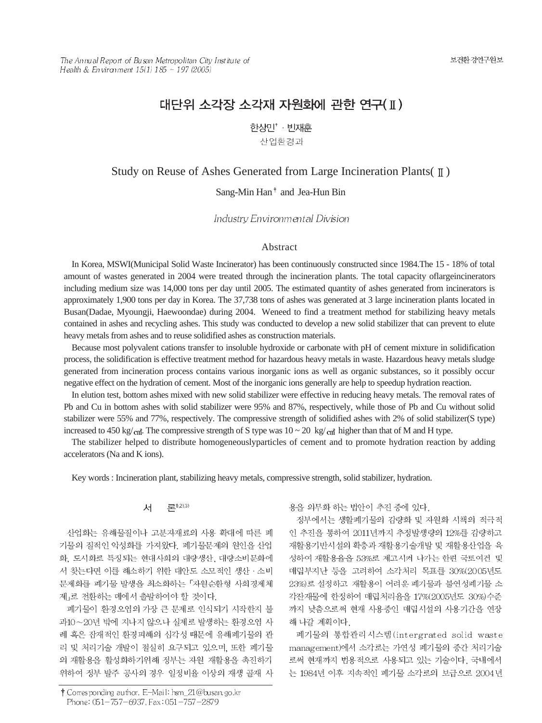# 대단위 소각장 소각재 자원화에 관한 연구(II)

한상민<sup>\*</sup> · 빈재훈

산업환경과

## Study on Reuse of Ashes Generated from Large Incineration Plants( $\parallel$ )

Sang-Min Han<sup>†</sup> and Jea-Hun Bin

Industry Environmental Division

#### Abstract

In Korea, MSWI(Municipal Solid Waste Incinerator) has been continuously constructed since 1984.The 15 - 18% of total amount of wastes generated in 2004 were treated through the incineration plants. The total capacity oflargeincinerators including medium size was 14,000 tons per day until 2005. The estimated quantity of ashes generated from incinerators is approximately 1,900 tons per day in Korea. The 37,738 tons of ashes was generated at 3 large incineration plants located in Busan(Dadae, Myoungji, Haewoondae) during 2004. Weneed to find a treatment method for stabilizing heavy metals contained in ashes and recycling ashes. This study was conducted to develop a new solid stabilizer that can prevent to elute heavy metals from ashes and to reuse solidified ashes as construction materials.

Because most polyvalent cations transfer to insoluble hydroxide or carbonate with pH of cement mixture in solidification process, the solidification is effective treatment method for hazardous heavy metals in waste. Hazardous heavy metals sludge generated from incineration process contains various inorganic ions as well as organic substances, so it possibly occur negative effect on the hydration of cement. Most of the inorganic ions generally are help to speedup hydration reaction.

In elution test, bottom ashes mixed with new solid stabilizer were effective in reducing heavy metals. The removal rates of Pb and Cu in bottom ashes with solid stabilizer were 95% and 87%, respectively, while those of Pb and Cu without solid stabilizer were 55% and 77%, respectively. The compressive strength of solidified ashes with 2% of solid stabilizer(S type) increased to 450 kg/c<sub>fl</sub>. The compressive strength of S type was  $10 \sim 20 \text{ kg/cm}^3$  higher than that of M and H type.

The stabilizer helped to distribute homogeneouslyparticles of cement and to promote hydration reaction by adding accelerators (Na and K ions).

Key words : Incineration plant, stabilizing heavy metals, compressive strength, solid stabilizer, hydration.

론<sup>02030</sup> 서

산업화는 유해물질이나 고분자재료의 사용 확대에 따른 폐 기물의 질적인 악성화를 가져왔다. 폐기물문제의 원인을 산업 화, 도시화로 특징되는 현대사회의 대량생산, 대량소비문화에 서 찾는다면 이를 해소하기 위한 대안도 소모적인 생산 · 소비 문제화를 폐기물 발생을 최소화하는 「자원순환형 사회경제체 제」로 전환하는 데에서 출발하여야 할 것이다.

폐기물이 환경오염의 가장 큰 문제로 인식되기 시작한지 불 과10~20년 밖에 지나지 않으나 실제로 발생하는 환경오염 사 례 혹은 잡재적인 환경피해의 심각성 때문에 유해폐기물의 관 리 및 처리기술 개발이 절실히 요구되고 있으며, 또한 폐기물 의 재활용을 활성화하기위해 정부는 자원 재활용을 촉진하기 위하여 정부 발주 공사의 경우 일정비율 이상의 재생 골재 사 용을 의무화 하는 법안이 추진 중에 있다.

정부에서는 생활폐기물의 감량화 및 자원화 시책의 적극적 인 추진을 통하여 2011년까지 추정발생량의 12%를 감량하고 재활용기반시설의 확충과 재활용기술개발 및 재활용산업을 육 성하여 재활용율을 53%로 제고시켜 나가는 한편 국토여건 및 매립부지난 등을 고려하여 소각처리 목표를 30%(2005년도 23%)로 설정하고 재활용이 어려운 폐기물과 불연성폐기물 소 각잔재물에 한정하여 매립처리율을 17%(2005년도 30%)수준 까지 낮춤으로써 현재 사용중인 매립시설의 사용기간을 연장 해 나갈 계획이다.

폐기물의 통합관리시스템(intergrated solid waste management)에서 소각로는 가연성 폐기물의 중간 처리기술 로써 현재까지 번용적으로 사용되고 있는 기술이다. 국내에서 는 1984년 이후 지속적인 폐기물 소각로의 보급으로 2004년

<sup>†</sup> Corresponding author. E-Mail: hsm\_21@busan.go.kr Phone: 051-757-6937, Fax: 051-757-2879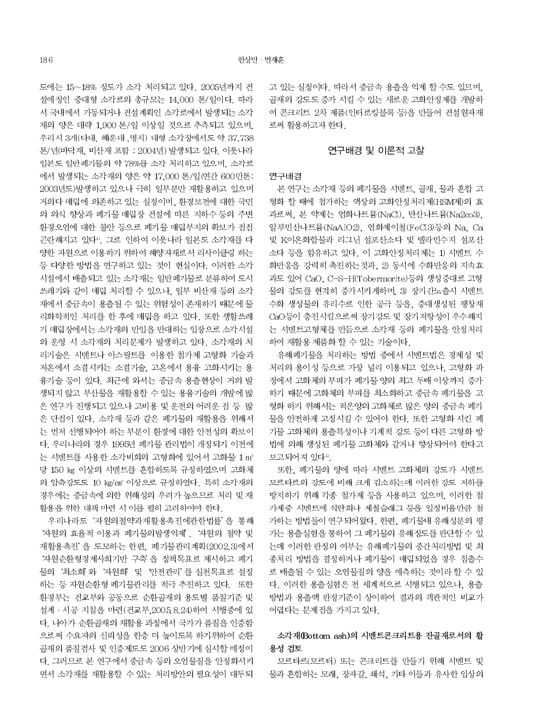도에는 15~18% 정도가 소각 처리되고 있다. 2005년까지 건 설예정인 중대형 소각로의 총규모는 14,000 톤/일이다. 따라 서 국내에서 가동되거나 건설계획인 소각로에서 발생되는 소각 재의 양은 대략 1.900 톤/일 이상일 것으로 추측되고 있으며. 우리시 3개(다대, 해운대, 명지) 대형 소각장에서도 약 37,738 톤/년(바닥재, 비산재 포함 : 2004년) 발생되고 있다. 이웃나라 일본도 일반폐기물의 약 78%를 소각 처리하고 있으며, 소각로 에서 발생되는 소각재의 양은 약 17,000 톤/일(연간 600만톤: 2003년도)발생하고 있으나 극히 일부분만 재활용하고 있으며 거의다 매립에 의존하고 있는 실정이며, 환경보전에 대한 국민 의 의식 향상과 폐기물 매립장 건설에 따른 지하수 등의 주변 환경오염에 대한 불안 등으로 폐기물 매립부지의 확보가 점점 곤란해지고 있다". 그로 인하여 이웃나라 일본도 소각재를 다 양한 자원으로 이용하기 위하여 해양자재로서 리사이클링 하는 등 다양한 방법을 연구하고 있는 것이 현실이다. 이러한 소각 시설에서 배출되고 있는 소각재는 일반폐기물로 분류하여 도시 쓰레기와 같이 매립 처리할 수 있으나, 일부 비산재 등의 소각 재에서 중금속이 용출될 수 있는 위험성이 존재하기 때문에 물 리화학적인 처리를 한 후에 매립을 하고 있다. 또한 생활쓰레 기 매립장에서는 소각재의 반입을 반대하는 입장으로 소각시설 의 운영 시 소각재의 처리문제가 발생하고 있다. 소각재의 처 리기술은 시멘트나 아스팔트를 이용한 첨가제 고형화 기술과 저온에서 소결시키는 소결기술, 고온에서 용융 고화시키는 용 융기술 등이 있다. 최근에 와서는 중금속 용출현상이 거의 발 생되지 않고 부산물을 재활용할 수 있는 용융기술의 개발에 많 은 연구가 진행되고 있으나 고비용 및 운전의 어려운 점 등 많 은 단접이 있다. 소각재 등과 같은 폐기물의 재활용을 위해서 는 먼저 선행되어야 하는 부분이 환경에 대한 안전성의 확보이 다. 우리나라의 경우 1995년 폐기물 관리법이 개정되기 이전에 는 시멘트를 사용한 소각비회의 고형화에 있어서 고화물 1 m<sup>3</sup> 당 150 kg 이상의 시멘트를 혼합하도록 규정하였으며 고화체 의 압축강도도 10 kg/cm3 이상으로 규정하였다. 특히 소각재의 경우에는 중금속에 의한 위해성의 우려가 높으므로 처리 및 재 활용을 위한 대책 마련 시 이를 필히 고려하여야 한다.

우리나라도 '자원의절약과재활용촉진에관한법률'을 통해 '자원의 효율적 이용과 폐기물의발생억제'. '자원의 절약 및 재활용촉진'을 도모하는 한편, 폐기물관리계획(2002.3)에서 '자원순환형경제사회기반 구축'을 정책목표로 제시하고 폐기 물의 '최소화' 와 '자원화' 및 '안전관리' 를 실천목표로 설정 하는 등 자원순환형 폐기물관리를 적극 추진하고 있다. 또한 환경부는 건교부와 공동으로 순환골재의 용도별 품질기준 및 설계 · 시공 지침을 마련(건교부, 2005.8.24)하여 시행중에 있 다. 나아가 순환골재의 재활용 과정에서 국가가 품질을 인증함 으로써 수요자의 신뢰성을 한층 더 높이도록 하기위하여 순환 골재의 품질검사 및 인증제도도 2006 상반기에 실시할 예정이 다. 그러므로 본 연구에서 중금속 등의 오염물질을 안정화시키 면서 소각재를 재활용할 수 있는 처리방안의 필요성이 대두되 고 있는 실정이다. 따라서 중금속 용출을 억제 할 수도 있므며. 골재의 강도도 증가 시킬 수 있는 새로운 고화안정제를 개발하 여 콘크리트 2차 제품(인터로킹블록 등)을 만들어 건설원자재 로써 활용하고자 한다.

#### 연구배경 및 이론적 고찰

#### 연구배경

본 연구는 소각재 등의 폐기물을 시멘트, 골재, 물과 혼합 고 형화 할 때에 첨가하는 액상의 고화안정처리제(HSM제)의 효 과로써, 본 약제는 염화나트륨(NaCl), 탄산나트륨(Na2co3), 알루민산나트륨(NaAlO2), 염화제이철(FeCl3)등의 Na, Ca 및 K이온화합물과 리그닌 설포산소다 및 멜라민수지 설포산 소다 등을 함유하고 있다. 이 고화안정처리제는 1) 시멘트 수 화반응을 강력히 촉진하는것과, 2) 동시에 수화반응의 지속효 과도 있어 CaO, C-S-H(Tobermorite)등의 생성증대로 고형 물의 강도를 현격히 증가시키게하며, 3) 장기간노출시 시멘트 수화 생성물의 유리수로 인한 공극 등을, 증대생성된 팽창재 CaO등이 충진시킴으로써 장기강도 및 장기저항성이 우수해지 는 시멘트고형체를 만듬으로 소각재 등의 폐기물을 안정처리 하여 재활용 제품화 할 수 있는 기술이다.

유해폐기물을 처리하는 방법 중에서 시멘트법은 경제성 및 처리의 용이성 등으로 가장 널리 이용되고 있으나, 고형화 과 정에서 고화체의 부피가 폐기물 양의 최고 두배 이상까지 증가 하기 때문에 고화체의 부피를 최소화하고 중금속 폐기물을 고 형화 하기 위해서는 적은양의 고화체로 많은 양의 중금속 폐기 물을 안전하게 고정시킬 수 있어야 한다. 또한 고형화 시킨 폐 기물 고화체의 용출특성이나 기계적 강도 등이 다른 고형화 방 법에 의해 생성된 폐기물 고화체와 같거나 향상되어야 한다고 보고되어져 있다<sup>®</sup>.

또한, 폐기물의 양에 따라 시멘트 고화체의 강도가 시멘트 모르타르의 강도에 비해 크게 감소하는데 이러한 강도 저하를 방지하기 위해 각종 첨가제 등을 사용하고 있으며, 이러한 첨 가제중 시멘트에 석탄회나 제철슬래그 등을 일정비율만큼 첨 가하는 방법들이 연구되어왔다. 한편, 폐기물내 유해성분의 평 가는 용출실험을 통하여 그 폐기물의 유해정도를 판단할 수 있 는데 이러한 판정의 여부는 유해폐기물의 중간처리방법 및 최 종처리 방법을 결정하거나 폐기물이 매립되었을 경우 침출수 로 배출될 수 있는 오염물질의 양을 예측하는 것이라 할 수 있 다. 이러한 용출실험은 전 세계적으로 시행되고 있으나, 용출 방법과 용출액 판정기준이 상이하여 결과의 객관적인 비교가 어렵다는 문제점을 가지고 있다.

### 소각재(Bottom ash)의 시멘트콘크리트용 잔골재로서의 활 용성 검토

모르타르(모르터) 또는 콘크리트를 만들기 위해 시멘트 및 물과 혼합하는 모래, 장자갈, 쇄석, 기타 이들과 유사한 입상의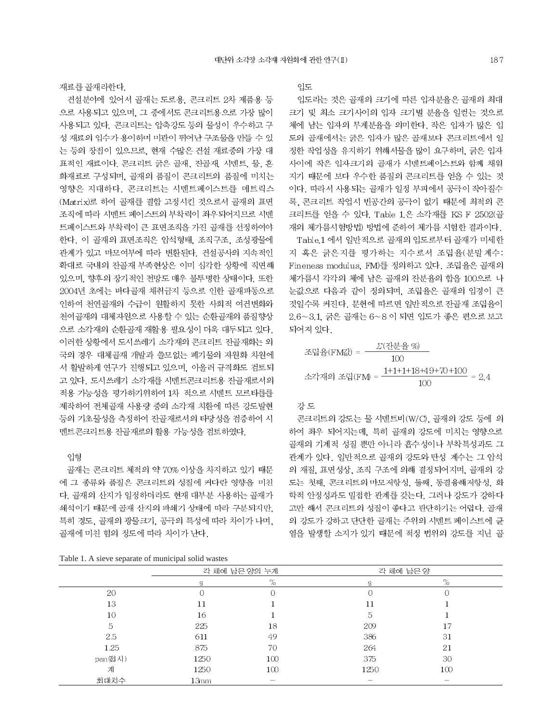재료를 골재라한다.

건설분야에 있어서 골재는 도로용, 콘크리트 2차 제품용 등 으로 사용되고 있으며, 그 중에서도 콘크리트용으로 가장 많이 사용되고 있다. 콘크리트는 압축강도 등의 물성이 우수하고 구 성 재료의 입수가 용이하며 미관이 뛰어난 구조물을 만들 수 있 는 등의 장점이 있으므로, 현재 수많은 건설 재료중의 가장 대 표적인 재료이다. 콘크리트 굵은 골재, 잔골재, 시멘트, 물, 혼 화재료로 구성되며, 골재의 품질이 콘크리트의 품질에 미치는 영향은 지대하다. 콘크리트는 시멘트페이스트를 메트릭스 (Matrix)로 하여 골재를 결합 고정시킨 것으로서 골재의 표면 조직에 따라 시멘트 페이스트의 부착력이 좌우되어지므로 시멘 트페이스트와 부착력이 큰 표면조직을 가진 골재를 선정하여야 한다. 이 골재의 표면조직은 암석형태, 조직구조, 조성광물에 관계가 있고 마모여부에 따라 변환된다. 건설공사의 지속적인 확대로 국내의 잔골재 부족현상은 이미 심각한 상황에 직면해 있으며, 향후의 장기적인 전망도 매우 불투명한 상태이다. 또한 2004년 초에는 바다골재 채취금지 등으로 인한 골재파동으로 인하여 처여골재의 수급이 원활하지 못한 사회적 여건변화와 천여골재의 대체자원으로 사용할 수 있는 순환골재의 품질향상 으로 소각재의 순환골재 재활용 필요성이 더욱 대두되고 있다. 이러한 상황에서 도시쓰레기 소각재의 콘크리트 잔골재화는 외 국의 경우 대체골재 개발과 쓸모없는 폐기물의 자원화 차원에 서 활발하게 연구가 진행되고 있으며, 아울러 규격화도 검토되 고 있다. 도시쓰레기 소각재를 시멘트콘크리트용 잔골재로서의 적용 가능성을 평가하기위하여 1차 적으로 시멘트 모르타를를 제작하여 전체골재 사용량 중의 소각재 치환에 따른 강도발현 등의 기초물성을 측정하여 잔골재로서의 타당성을 검증하여 시 멘트콘크리트용 잔골재로의 활용 가능성을 검토하였다.

#### 입형

골재는 콘크리트 체적의 약 70% 이상을 차지하고 있기 때문 에 그 종류와 품질은 콘크리트의 성질에 커다란 영향을 미친 다. 골재의 산지가 일정하더라도 현재 대부분 사용하는 골재가 쇄석이기 때문에 골재 산지의 파쇄기 상태에 따라 구분되지만, 특히 경도, 골재의 광물크기, 공극의 특성에 따라 차이가 나며, 골재에 미친 힘의 정도에 따라 차이가 난다.

Table 1. A sieve separate of municipal solid wastes

입도

입도라는 것은 골재의 크기에 따른 입자분율은 골재의 최대 크기 및 최소 크기사이의 입자 크기별 분율을 일컫는 것으로 체에 남는 입자의 무게분율을 의미한다. 작은 입자가 많은 입 도의 골재에서는 굵은 입자가 많은 골재보다 콘크리트에서 일 정한 작업성을 유지하기 위해서물을 많이 요구하며, 굵은 입자 사이에 작은 입자크기의 골재가 시멘트페이스트와 함께 채워 지기 때문에 보다 우수한 품질의 콘크리트를 얻을 수 있는 것 이다. 따라서 사용되는 골재가 일정 부피에서 공극이 작아질수 록. 콘크리트 작업시 빈공간의 공극이 없기 때문에 최적의 콘 크리트를 얻을 수 있다. Table 1.은 소각재를 KS F 2502(골 재의 체가름시험방법) 방법에 준하여 체가름 시험한 결과이다.

Table.1 에서 일반적으로 골재의 입도로부터 골재가 미세한 지 혹은 굵은지를 평가하는 지수로서 조립율(분말계수: Fineness modulus, FM)를 정의하고 있다. 조립율은 골재의 체가름시 각각의 체에 남은 골재의 잔분율의 합을 100으로 나 눈값으로 다음과 같이 정의되며, 조립율은 골재의 입경이 큰 것일수록 커진다. 문헌에 따르면 일반적으로 잔골재 조립율이 2.6~3.1, 굵은 골재는 6~8 이 되면 입도가 좋은 편으로 보고 되어져 있다.

$$
\mathbb{Z}^2 \frac{1}{2} \cdot \mathbb{E}(\text{FM}_4) = \frac{\Sigma \cdot (2 \cdot \frac{1}{2} \cdot \frac{1}{2} \cdot \frac{3}{2} \cdot \frac{3}{2})}{100}
$$
\n
$$
\mathbb{Z}^2 \cdot \frac{1}{2} \cdot \frac{1}{2} \cdot \frac{1}{2} \cdot \frac{1}{2} \cdot \frac{1}{2} \cdot \frac{1}{2} \cdot \frac{1}{2} \cdot \frac{1}{2} \cdot \frac{1}{2} \cdot \frac{1}{2} \cdot \frac{1}{2} \cdot \frac{1}{2} \cdot \frac{1}{2} \cdot \frac{1}{2} \cdot \frac{1}{2} \cdot \frac{1}{2} \cdot \frac{1}{2} \cdot \frac{1}{2} \cdot \frac{1}{2} \cdot \frac{1}{2} \cdot \frac{1}{2} \cdot \frac{1}{2} \cdot \frac{1}{2} \cdot \frac{1}{2} \cdot \frac{1}{2} \cdot \frac{1}{2} \cdot \frac{1}{2} \cdot \frac{1}{2} \cdot \frac{1}{2} \cdot \frac{1}{2} \cdot \frac{1}{2} \cdot \frac{1}{2} \cdot \frac{1}{2} \cdot \frac{1}{2} \cdot \frac{1}{2} \cdot \frac{1}{2} \cdot \frac{1}{2} \cdot \frac{1}{2} \cdot \frac{1}{2} \cdot \frac{1}{2} \cdot \frac{1}{2} \cdot \frac{1}{2} \cdot \frac{1}{2} \cdot \frac{1}{2} \cdot \frac{1}{2} \cdot \frac{1}{2} \cdot \frac{1}{2} \cdot \frac{1}{2} \cdot \frac{1}{2} \cdot \frac{1}{2} \cdot \frac{1}{2} \cdot \frac{1}{2} \cdot \frac{1}{2} \cdot \frac{1}{2} \cdot \frac{1}{2} \cdot \frac{1}{2} \cdot \frac{1}{2} \cdot \frac{1}{2} \cdot \frac{1}{2} \cdot \frac{1}{2} \cdot \frac{1}{2} \cdot \frac{1}{2} \cdot \frac{1}{2} \cdot \frac{1}{2} \cdot \frac{1}{2} \cdot \frac{1}{2} \cdot \frac{1}{2} \cdot \frac{1}{2} \cdot \frac{1}{2} \cdot \frac{1}{2} \cdot \frac{1}{2} \cdot \frac{1}{2} \cdot \frac{1}{2} \cdot \frac{1
$$

### 강도

콘크리트의 강도는 물 시멘트비(W/C), 골재의 강도 등에 의 하여 좌우 되어지는데, 특히 골재의 강도에 미치는 영향으로 골재의 기계적 성질 뿐만 아니라 흡수성이나 부착특성과도 그 관계가 있다. 일반적으로 골재의 강도와 탄성 계수는 그 암석 의 재질, 표면성상, 조직 구조에 의해 결정되어지며, 골재의 강 도는 첫째, 콘크리트의 마모저항성, 둘째, 동결융해저항성, 화 학적 안정성과도 밀접한 관계를 갖는다. 그러나 강도가 강하다 고만 해서 콘크리트의 성질이 좋다고 판단하기는 어렵다. 골재 의 강도가 강하고 단단한 골재는 주위의 시멘트 페이스트에 균 열을 발생할 소지가 있기 때문에 적정 번위의 강도를 지닌 골

| $\mathbf{r}$ |      |                          |           |                                 |  |
|--------------|------|--------------------------|-----------|---------------------------------|--|
|              |      | 각 체에 남은 양의 누계            | 각 체에 남은 양 |                                 |  |
|              | g    | $\%$                     | g         | $\%$                            |  |
| 20           |      | 0                        | O         |                                 |  |
| 13           | 11   |                          | 11        |                                 |  |
| 10           | 16   |                          | 5         |                                 |  |
| 5            | 225  | 18                       | 209       | 17                              |  |
| 2.5          | 611  | 49                       | 386       | 31                              |  |
| 1.25         | 875  | 70                       | 264       | 21                              |  |
| pan(접시)      | 1250 | 100                      | 375       | 30                              |  |
| 계            | 1250 | 100                      | 1250      | 100                             |  |
| 최대치수         | 13mm | $\overline{\phantom{0}}$ |           | $\hspace{0.1mm}-\hspace{0.1mm}$ |  |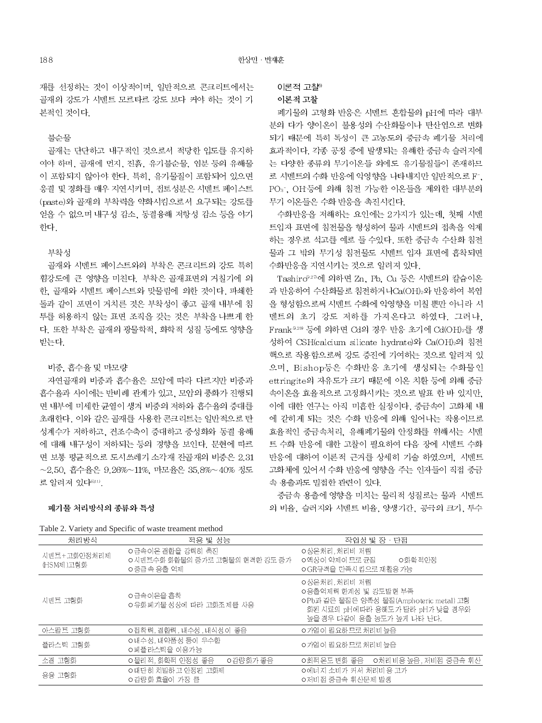재를 선정하는 것이 이상적이며, 일반적으로 콘크리트에서는 골재의 강도가 시멘트 모르타르 강도 보다 커야 하는 것이 기 본적인 것이다.

### 불순물

골재는 단단하고 내구적인 것으로서 적당한 입도를 유지하 여야 하며, 골재에 먼지, 진흙, 유기불순물, 염분 등의 유해물 이 포함되지 않아야 한다. 특히, 유기물질이 포함되어 있으면 응결 및 경화를 매우 지연시키며, 접토성분은 시멘트 페이스트 (paste)와 골재의 부착력을 약화시킴으로서 요구되는 강도를 얻을 수 없으며 내구성 감소, 동결융해 저항성 감소 등을 야기 하다

### 부착성

골재와 시멘트 페이스트와의 부착은 콘크리트의 강도 특히 휨강도에 큰 영향을 미친다. 부착은 골재표면의 거칠기에 의 한, 골재와 시멘트 페이스트와 맞물림에 의한 것이다. 파쇄한 돌과 같이 포면이 거치른 것은 부착성이 좋고 골재 내부에 침 투를 허용하지 않는 표면 조직을 갖는 것은 부착을 나쁘게 한 다. 또한 부착은 골재의 광물학적, 화학적 성질 등에도 영향을 받는다.

### 비중, 흡수율 및 마모량

자연골재의 비중과 흡수율은 모암에 따라 다르지만 비중과 흡수율과 사이에는 반비례 관계가 있고, 모암의 풍화가 진행되 면 내부에 미세한 균열이 생겨 비중의 저하와 흡수율의 증대를 초래한다. 이와 같은 골재를 사용한 콘크리트는 일반적으로 탄 성계수가 저하하고, 건조수축이 증대하고 중성화와 동결 융해 에 대해 내구성이 저하되는 등의 경향을 보인다. 문헌에 따르 면 보통 평균적으로 도시쓰레기 소각재 잔골재의 비중은 2.31  $\sim$ 2.50. 흡수율은 9.26% $\sim$ 11%. 마모율은 35.8% $\sim$ 40% 정도 로 알려져 있다<sup>6,110</sup>.

### 폐기물 처리방식의 종류와 특성

| Table 2. Variety and Specific of waste treament method |  |  |  |  |
|--------------------------------------------------------|--|--|--|--|
|--------------------------------------------------------|--|--|--|--|

이론적 고찰<sup>6)</sup>

#### 이론적 고찰

폐기물의 고형화 반응은 시멘트 혼합물의 pH에 따라 대부 분의 다가 양이온이 불용성의 수산화물이나 탄산염으로 변화 되기 때문에 특히 독성이 큰 고농도의 중금속 폐기물 처리에 효과적이다. 각종 공정 중에 발생되는 유해한 중금속 슬러지에 는 다양한 종류의 무기이온들 외에도 유기물질들이 존재하므 로 시멘트의 수화 반응에 악영향을 나타내지만 일반적으로 F<sup>-</sup>. POs, OH등에 의해 침전 가능한 이온들을 제외한 대부분의 무기 이온들은 수화 반응을 촉진시킨다.

수화반응을 저해하는 요인에는 2가지가 있는데, 첫째 시멘 트입자 표면에 침전물을 형성하여 물과 시멘트의 접촉을 억제 하는 경우로 석고를 예로 들 수있다. 또한 중금속 수산화 침전 물과 그 밖의 무기성 침전물도 시멘트 입자 표면에 흡착되면 수화반응을 지연시키는 것으로 알려져 있다.

Tashiro927에 의하면 Zn, Pb, Cu 등은 시멘트의 칼슘이온 과 반응하여 수산회물로 침전하거나Ca(OH)2와 반응하여 복염 을 형성함으로써 시멘트 수화에 악영향을 미칠 뿐만 아니라 시 멘트의 초기 강도 저하를 가져온다고 하였다. 그러나, Frank<sup>528</sup> 등에 의하면 Cd의 경우 반응 초기에 Cd(OH)<sub>2</sub>를 생 성하여 CSH(calcium silicate hydrate)와 Ca(OH)2의 침전 핵으로 작용함으로써 강도 증진에 기여하는 것으로 알려져 있 으며, Bishop등은 수화반응 초기에 생성되는 수화물인 ettringite의 자유도가 크기 때문에 이온 치환 등에 의해 중금 속이온을 효율적으로 고정화시키는 것으로 발표 한 바 있지만, 이에 대한 연구는 아직 미흡한 실정이다. 중금속이 고화체 내 에 갇히게 되는 것은 수화 반응에 의해 일어나는 작용이므로 효율적인 중금속처리, 유해폐기물의 안정화를 위해서는 시멘 트 수화 반응에 대한 고찰이 필요하여 다음 장에 시멘트 수화 반응에 대하여 이론적 근거를 상세히 기술 하였으며, 시멘트 고화체에 있어서 수화 반응에 영향을 주는 인자들이 직접 중금 속 용출과도 밀접한 관련이 있다.

중금속 용출에 영향을 미치는 물리적 성질로는 물과 시멘트 의 비율, 슬러지와 시멘트 비율, 양생기간, 공극의 크기, 투수

| Table 2. Variety and Specific of waste treatment include |                                                                   |                                                                                                                                                   |  |  |  |  |  |
|----------------------------------------------------------|-------------------------------------------------------------------|---------------------------------------------------------------------------------------------------------------------------------------------------|--|--|--|--|--|
| 처리방식                                                     | 적용 및 성능                                                           | 작업성 및 장 · 단접                                                                                                                                      |  |  |  |  |  |
| 시멘트+고화안정처리제<br>(HSM제)고형화                                 | ㅇ금속이온 결합을 강력히 촉진<br>ㅇ시멘트수화 화합물의 증가로 고형물의 현격한 강도 증가<br>ㅇ중금 속 용출 억제 | ㅇ상온처리,처리비 저렴<br>ㅇ액상이 약제이 므로 균질<br>ㅇ화학 적안정<br>ㅇGR규격을 만족시킴으로 재활용 가능                                                                                 |  |  |  |  |  |
| 시멘트 고형화                                                  | ㅇ금속이온을 흡착<br>ㅇ유화폐기물 성상에 따라 고화조제를 사용                               | ㅇ상온처리, 처리비 저렴<br>ㅇ용출억제력 한계성 및 강도발현 부족<br>ㅇPb과 같은 물질은 양쪽성 물질(Amphoteric metal) 고형<br>화된 시료의 pH에따라 용해도가 달라 pH가 낮을 경우와<br>높을 경우 다같이 용출 농도가 높게 나타 난다. |  |  |  |  |  |
| 아스팔트 고형화                                                 | ㅇ접착력, 결합력, 내수성, 내식성이 좋음                                           | ㅇ가염이 필요하므로 처리비 높음                                                                                                                                 |  |  |  |  |  |
| 플라스틱 고형화                                                 | ㅇ내수성, 내약품성 등이 우수함<br>ㅇ폐플라스틱을 이용가능                                 | ㅇ가염이 필요하므로 처리비 높음                                                                                                                                 |  |  |  |  |  |
| 소결 고형화                                                   | o물리 적, 화학적 안정성 좋음<br>ㅇ감량화가 좋음                                     | ㅇ최적 온도 변화 좋음 _ ㅇ처리비용 높음, 저비접 중급속 휘산                                                                                                               |  |  |  |  |  |
| 용융 고형화                                                   | ㅇ대단히 치밀하고 안정된 고화제<br>ㅇ감량화 효율이 가장 큼                                | ㅇ에너지 소비가 커서 처리비용 고가<br>ㅇ저비점 중금속 휘산문제 발생                                                                                                           |  |  |  |  |  |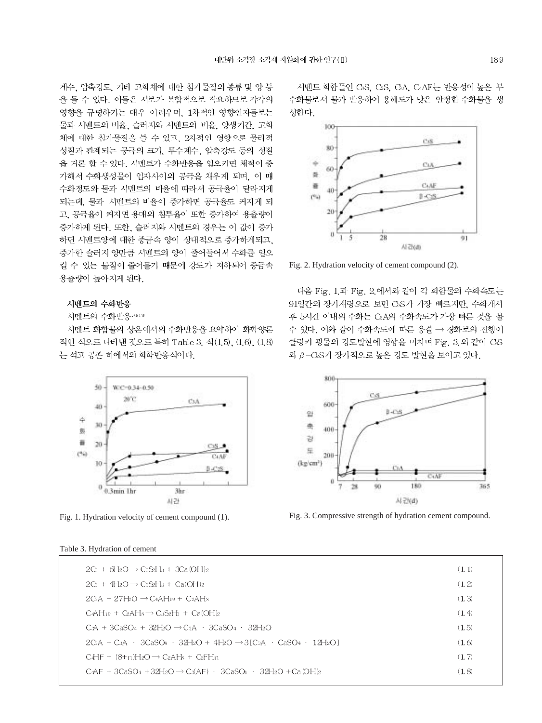계수, 압축강도, 기타 고화체에 대한 첨가물질의 종류 및 양 등 을 들 수 있다. 이들은 서로가 복합적으로 작요하므로 각각의 영향을 규명하기는 매우 어려우며, 1차적인 영향인자들로는 물과 시멘트의 비율, 슬러지와 시멘트의 비율, 양생기간, 고화 체에 대한 첨가물질을 들 수 있고, 2차적인 영향으로 물리적 성질과 관계되는 공극의 크기, 투수계수, 압축강도 등의 성질 을 거론 할 수 있다. 시멘트가 수화반응을 일으키면 체적이 증 가해서 수화생성물이 입자사이의 공극을 채우게 되며, 이 때 수화정도와 물과 시멘트의 비율에 따라서 공극율이 달라지게 되는데, 물과 시멘트의 비율이 증가하면 공극율도 커지게 되 고, 공극율이 커지면 용매의 침투율이 또한 증가하여 용출량이 증가하게 된다. 또한, 슬러지와 시멘트의 경우는 이 값이 증가 하면 시멘트양에 대한 중금속 양이 상대적으로 증가하게되고, 증가한 슬러지 양만큼 시멘트의 양이 줄어들어서 수화를 일으 킬 수 있는 물질이 줄어들기 때문에 강도가 저하되어 중금속 용출량이 높아지게 된다.

#### 시멘트의 수화반응

시멘트의 수화반응 7.819

시멘트 화합물의 상온에서의 수화반응을 요약하여 화학양론 적인 식으로 나타낸 것으로 특히 Table 3, 식(1,5), (1,6), (1,8) 는 석고 공존 하에서의 화학반응식이다.



Fig. 1. Hydration velocity of cement compound (1).

#### Table 3. Hydration of cement

시멘트 화합물인 CsS. CsS. GA. CAF는 반응성이 높은 무 수화물로서 물과 반응하여 용해도가 낮은 안정한 수화물을 생 성한다.



Fig. 2. Hydration velocity of cement compound (2).

다음 Fig. 1 과 Fig. 2 에서와 같이 각 화합물의 수화속도는 91일간의 장기재령으로 보면 CAS가 가장 빠르지만, 수화개시 후 5시간 이내의 수화는 CsA의 수화속도가 가장 빠른 것을 볼 수 있다. 이와 같이 수화속도에 따른 응결 → 경화로의 진행이 클링커 광물의 강도발현에 영향을 미치며 Fig. 3 와 같이 CS 와 β-C2S가 장기적으로 높은 강도 발현을 보이고 있다.



Fig. 3. Compressive strength of hydration cement compound.

| $2C_3 + 6H_2O \rightarrow C_3S_2H_3 + 3C_4(OH)_2$                               | (1,1)  |
|---------------------------------------------------------------------------------|--------|
| $2C_3 + 4H_2O \rightarrow C_3S_2H_3 + C_3(OH)_2$                                | (1, 2) |
| $2C_3A + 27H_2O \rightarrow C_4AH_19 + C_2AH_8$                                 | (1,3)  |
| $CAH_{19} + CAH_8 \rightarrow C_3S_2H_3 + CAOHb$                                | (1,4)  |
| C:A + 3CaSO4 + 32HzO $\rightarrow$ C:A + 3CaSO4 + 32HzO                         | (1.5)  |
| $2C_3A + C_3A + 3C_4SO_4 + 32H_2O + 4H_2O \rightarrow 3IC_3A + CaSO_4 + 12H_2O$ | (1.6)  |
| $C_4HF + (8+n)H_2O \rightarrow C_2AH_8 + C_2FH_1$                               | (1, 7) |
| $CaAF + 3CaSO4 + 32H2O \rightarrow CaAF) + 3CaSO4 + 32H2O + Ca(OH)2$            | (1,8)  |
|                                                                                 |        |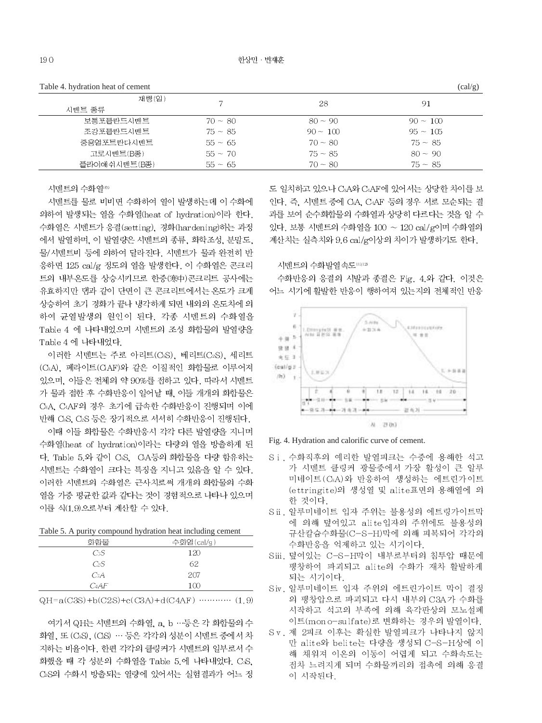| Table 4. hydration heat of cement |           |            | (cal/g)    |
|-----------------------------------|-----------|------------|------------|
| 재렴(일)                             |           | 28         | 91         |
| 시멘트 종류                            |           |            |            |
| 보통포틀란드시멘트                         | $70 - 80$ | $80 - 90$  | $90 - 100$ |
| 조강포틀란드시멘트                         | $75 - 85$ | $90 - 100$ | $95 - 105$ |
| 중용열포트란다시멘트                        | $55 - 65$ | $70 - 80$  | $75 - 85$  |
| 고로시멘트(B종)                         | $55 - 70$ | $75 - 85$  | $80 - 90$  |
| 플라이애쉬시멘트(B종)                      | $55 - 65$ | $70 - 80$  | $75 - 85$  |
|                                   |           |            |            |

시멘트의 수화열®

시멘트를 물로 비비면 수화하여 열이 발생하는데 이 수화에 의하여 발생되는 열을 수화열(heat of hydration)이라 한다. 수화열은 시멘트가 응결(setting), 경화(hardening)하는 과정 에서 발열하며, 이 발열량은 시멘트의 종류, 화학조성, 분말도, 물/시멘트비 등에 의하여 달라진다. 시멘트가 물과 완전히 반 응하면 125 cal/g 정도의 열을 발생한다. 이 수화열은 콘크리 트의 내부온도를 상승시키므로 한중(寒中)콘크리트 공사에는 유효하지만 댐과 같이 단면이 큰 콘크리트에서는 온도가 크게 상승하여 초기 경화가 끝나 냉각하게 되면 내외의 온도차에 의 하여 균열발생의 원인이 된다. 각종 시멘트의 수화열을 Table 4 에 나타내었으며 시멘트의 조성 화합물의 발열량을 Table 4 에 나타내었다.

이러한 시멘트는 주로 아리트(CsS), 베리트(C2S), 세리트 (C<sub>3</sub>A), 페라이트(CAF)와 같은 이질적인 화합물로 이루어져 있으며, 이들은 전체의 약 90%를 전하고 있다. 따라서 시멘트 가 물과 접한 후 수화반응이 일어날 때, 이들 개개의 화합물은 CBA, CAF의 경우 초기에 급속한 수화반응이 진행되며 이에 반해 CsS, CsS 등은 장기적으로 서서히 수화반응이 진행된다.

이때 이들 화합물은 수화반응시 각각 다른 발열량을 지니며 수화열(heat of hydration)이라는 다량의 열을 방출하게 된 다. Table 5.와 같이 CS. CA등의 화합물을 다량 함유하는 시멘트는 수화열이 크다는 특징을 지니고 있음을 알 수 있다. 이러한 시멘트의 수화열은 근사치로써 개개의 화합물의 수화 열을 가중 평균한 값과 같다는 것이 경험적으로 나타나 있으며 이를 식(1.9)으로부터 계산할 수 있다.

Table 5. A purity compound hydration heat including cement

| 화학물     | 수화열(cal/g) |
|---------|------------|
| CsS     | 120        |
| $C_2S$  | 62         |
| $C_3A$  | 207        |
| $C_4AF$ | 100        |

 $QH = a(C3S) + b(C2S) + c(C3A) + d(C4AF)$  ............. (1.9)

여기서 QH는 시멘트의 수화열, a, b …등은 각 화합물의 수 화열, 또 (CsS), (CsS) … 등은 각각의 성분이 시멘트 중에서 차 지하는 비율이다. 한편 각각의 클링커가 시멘트의 일부로서 수 화했을 때 각 성분의 수화열을 Table 5.에 나타내었다. C:S. C2S의 수화시 방출되는 열량에 있어서는 실험결과가 어느 정

도 일치하고 있으나 C&A와 CAF에 있어서는 상당한 차이를 보 인다. 즉, 시멘트 중에 CA, CAF 등의 경우 서로 모순되는 결 과를 보여 순수화합물의 수화열과 상당히 다르다는 것을 알 수 있다. 보통 시멘트의 수화열을 100 ~ 120 cal/g이며 수화열의 계산치는 실측치와 9.6 cal/g이상의 차이가 발생하기도 한다.

시멘트의 수화발열속도 0.02

수화반응의 응결의 시발과 종결은 Fig. 4.와 같다. 이것은 어느 시기에 활발한 반응이 행하여져 있는지의 전체적인 반응



Fig. 4. Hydration and calorific curve of cement.

- Si. 수화직후의 예리한 발열피크는 수중에 용해한 석고 가 시멘트 클링커 광물중에서 가장 활성이 큰 알루 미네이트 (CBA)와 반응하여 생성하는 에트린가이트 (ettringite)의 생성열 및 alite표면의 용해열에 의 한 것이다.
- S ii. 알루미네이트 입자 주위는 불용성의 에트링가이트막 에 의해 덮여있고 alite입자의 주위에도 불용성의 규산칼슘수화물(C-S-H)막에 의해 피복되어 각각의 수화반응을 억제하고 있는 시기이다.
- Siii. 덮여있는 C-S-H막이 내부로부터의 침투압 때문에 팽창하여 파괴되고 alite의 수화가 재차 활발하게 되는 시기이다.
- Siv. 알루미네이트 입자 주위의 에트린가이트 막이 결정 의 팽창압으로 파괴되고 다시 내부의 C3A가 수화를 시작하고 석고의 부족에 의해 육각판상의 모노설페 이트(mon o-sulfate)로 변화하는 경우의 발열이다.
- Sv. 제 2피크 이후는 확실한 발열피크가 나타나지 않지 만 alite와 belite는 다량을 생성되 C-S-H상에 이 해 채워져 이온의 이동이 어렵게 되고 수화속도는 전차 느려지게 되며 수화물끼리의 접촉에 의해 응결 이 시작된다.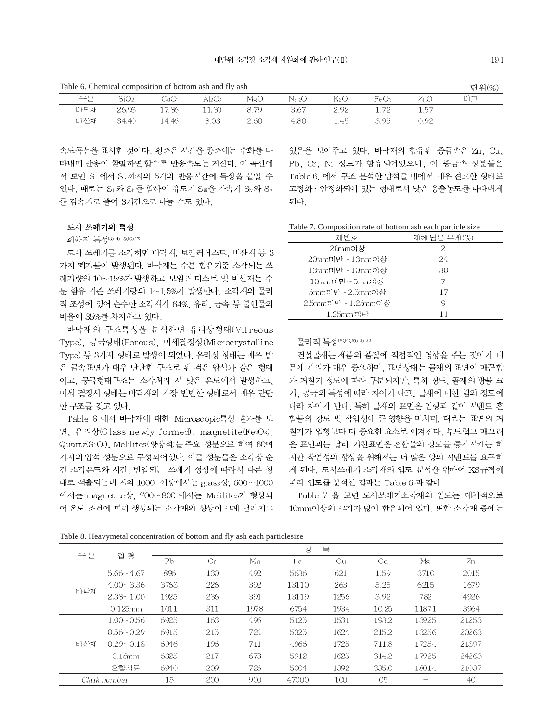Table 6. Chemical composition of bottom ash and fly ash

| Table 6. Chemical composition of bottom ash and fly ash |       |       |           |      |      |      |      | 단위(%) |    |
|---------------------------------------------------------|-------|-------|-----------|------|------|------|------|-------|----|
| 구분                                                      | SiO2. | JaO   | $Al_2O_3$ | MgO  | Na2O | K2O  | FeO3 | ZnO-  | 비고 |
| 바닥재                                                     | 26.93 | 17.86 | .1.30     | 8.79 | 3.67 | 2.92 |      | 1.57  |    |
| 비산재                                                     | 34.40 | 14.46 | 8.03      | 2.60 | 4.80 | l.45 | 3.95 | 0.92  |    |

속도곡선을 표시한 것이다. 횡축은 시간을 종축에는 수화를 나 타내며 반응이 활발하면 할수록 반응속도는 커진다. 이 곡선에 서 보면 S+에서 Sv까지의 5개의 반응시간에 특징을 붙일 수 있다. 때로는 Si 와 Si 를 합하여 유도기 Sii을 가속기 Si 와 Sv 를 감속기로 줄여 3기간으로 나눌 수도 있다.

#### 도시 쓰레기의 특성

화학적 특성(3)(4),15),16),17

도시 쓰레기를 소각하면 바닥재, 보일러더스트, 비산재 등 3 가지 폐기물이 발생된다. 바닥재는 수분 함유기준 소각되는 쓰 레기량의 10~15%가 발생하고 보일러 더스트 및 비산재는 수 분 함유 기준 쓰레기량의 1~1.5%가 발생한다. 소각재의 물리 적 조성에 있어 순수한 소각재가 64%, 유리, 금속 등 불연물의 비율이 35%를 차지하고 있다.

바닥재의 구조특성을 분석하면 유리상형태(Vitreous Type), 공극형태(Porous), 미세결정상(Microcrystalline Type) 등 3가지 형태로 발생이 되었다. 유리상 형태는 매우 밝 은 금속표면과 매우 단단한 구조로 된 검은 암석과 같은 형태 이고, 공극형태구조는 소각처리 시 낮은 온도에서 발생하고, 미세 결정사 형태는 바닥재의 가장 빈번한 형태로서 매우 단단 한 구조를 갖고 있다.

Table 6 에서 바닥재에 대한 Microscopic특성 결과를 보 면, 유리상(Glass newly formed), magnetite(Fe2O3), Quartz(SiO2), Melilites(황장석)를 주요 성분으로 하여 60여 가지의 암석 성분으로 구성되어있다. 이들 성분들은 소각장 순 간 소각온도와 시간, 반입되는 쓰레기 성상에 따라서 다른 형 태로 석출되는데 거의 1000 이상에서는 glass상, 600~1000 에서는 magnetite상, 700~800 에서는 Melilites가 형성되 어 온도 조건에 따라 생성되는 소각재의 성상이 크게 달라지고

있음을 보여주고 있다. 바닥재의 함유된 중금속은 Zn. Cu. Pb. Cr. Ni 정도가 함유되어있으나, 이 중금속 성분들은 Table 6, 에서 구조 분석한 암석들 내에서 매우 견고한 형태로 고정화 · 안정화되어 있는 형태로서 낮은 용출농도를 나타내게 된다.

Table 7. Composition rate of bottom ash each particle size

| 체번호              | 체에 남은 무게(%) |
|------------------|-------------|
| 20mm이상           | 2           |
| 20mm미만~13mm이상    | 24          |
| 13mm미만~10mm이상    | 30          |
| 10mm미만~5mm이상     | 7           |
| 5mm미만~2.5mm이상    | 17          |
| 2.5mm미만~1.25mm이상 | Q           |
| $1.25$ mm 미만     | 11          |

물리적 특성 (8), 9), 20, 20, 20

건설골재는 제품의 품질에 직접적인 영향을 주는 것이기 때 문에 관리가 매우 중요하며, 표면상태는 골재의 표면이 매끈함 과 거칠기 정도에 따라 구분되지만, 특히 경도, 골재의 광물 크 기, 공극의 특성에 따라 차이가 나고, 골재에 미친 힘의 정도에 다라 차이가 난다. 특히 골재의 표면은 입형과 같이 시멘트 혼 합물의 강도 및 작업성에 큰 영향을 미치며, 때로는 표면의 거 칠기가 입형보다 더 중요한 요소로 여겨진다. 부드럽고 매끄러 운 표면과는 달리 거친표면은 혼합물의 강도를 증가시키는 하 지만 작업성의 향상을 위해서는 더 많은 양의 시멘트를 요구하 게 된다. 도시쓰레기 소각재의 입도 분석을 위하여 KS규격에 따라 입도를 분석한 결과는 Table 6 과 같다

Table 7 을 보면 도시쓰레기소각재의 입도는 대체적으로 10mm이상의 크기가 많이 함유되어 있다. 또한 소각재 중에는

Table 8. Heavymetal concentration of bottom and fly ash each particlesize

|     |               | 항<br>목         |     |      |       |      |       |       |       |  |
|-----|---------------|----------------|-----|------|-------|------|-------|-------|-------|--|
| 구분  | 입<br>경        | P <sub>b</sub> | Cr  | Mn   | Fe    | Cu   | Cd    | Mg    | Zn    |  |
|     | $5.66 - 4.67$ | 896            | 130 | 492  | 5636  | 621  | 1.59  | 3710  | 2015  |  |
| 바닥재 | $4.00 - 3.36$ | 3763           | 226 | 392  | 13110 | 263  | 5.25  | 6215  | 1679  |  |
|     | $2.38 - 1.00$ | 1925           | 236 | 391  | 13119 | 1256 | 3.92  | 782   | 4926  |  |
|     | $0.125$ mm    | 1011           | 311 | 1978 | 6754  | 1934 | 10.25 | 11871 | 3964  |  |
|     | $1.00 - 0.56$ | 6925           | 163 | 496  | 5125  | 1531 | 193.2 | 13925 | 21253 |  |
|     | $0.56 - 0.29$ | 6915           | 215 | 724  | 5325  | 1624 | 215.2 | 13256 | 20263 |  |
| 비산재 | $0.29 - 0.18$ | 6946           | 196 | 711  | 4966  | 1725 | 711.8 | 17254 | 21397 |  |
|     | $0.18$ mm     | 6325           | 217 | 673  | 5912  | 1625 | 314.2 | 17925 | 24263 |  |
|     | 혼합시료          | 6940           | 209 | 725  | 5004  | 1392 | 335.0 | 18014 | 21037 |  |
|     | Clark number  | 15             | 200 | 900  | 47000 | 100  | 05    |       | 40    |  |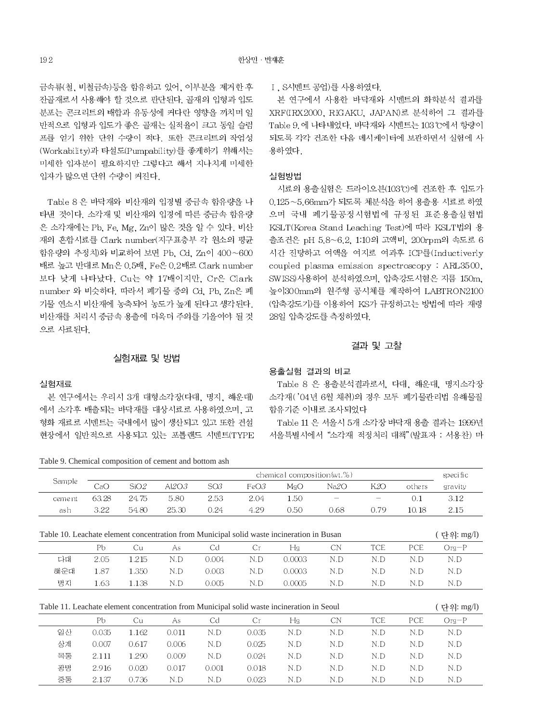금속류(철, 비철금속)등을 함유하고 있어, 이부분을 제거한 후 잔골재로서 사용해야 할 것으로 판단된다. 골재의 입형과 입도 분포는 콘크리트의 배합과 유동성에 커다란 영향을 끼치며 일 반적으로 입형과 입도가 좋은 골재는 실적율이 크고 동일 슬럼 프를 얻기 위한 단위 수량이 적다. 또한 콘크리트의 작업성 (Workability)과 타설도(Pumpability)를 좋게하기 위해서는 미세한 입자분이 필요하지만 그렇다고 해서 지나치게 미세한 입자가 많으면 단위 수량이 커진다.

Table 8 은 바닥재와 비산재의 입경별 중금속 함유량을 나 타낸 것이다. 소각재 및 비산재의 입경에 따른 중금속 함유량 은 소각재에는 Pb. Fe. Mg. Zn이 많은 것을 알 수 있다. 비산 재의 혼합시료를 Clark number(지구표층부 각 원소의 평균 함유량의 추정치)와 비교하여 보면 Pb. Cd. Zn이 400~600 배로 높고 반대로 Mn은 0.5배, Fe은 0.2배로 Clark number 보다 낮게 나타났다. Cu는 약 17배이지만, Cr은 Clark number 와 비슷하다. 따라서 폐기물 중의 Cd. Pb. Zn은 폐 기물 연소시 비산재에 농축되어 농도가 높게 된다고 생각된다. 비산재를 처리시 중금속 용출에 더욱더 주의를 기울여야 될 것 으로 사료된다.

#### I. S시멘트 공업)를 사용하였다.

본 연구에서 사용한 바닥재와 시멘트의 화학분석 결과를 XRF(IRX2000, RIGAKU, JAPAN)로 분석하여 그 결과를 Table 9. 에 나타내었다. 바닥재와 시멘트는 103℃에서 항량이 되도록 각각 건조한 다음 데시케이터에 보관하면서 실험에 사 용하였다.

#### 실험방법

시료의 용출실험은 드라이오븐(103℃)에 건조한 후 입도가 0.125~5.66mm가 되도록 체분석을 하여 용출용 시료로 하였 으며 국내 폐기물공정시험법에 규정된 표준용출실험법 KSLT(Korea Stand Leaching Test)에 따라 KSLT법의 용 출조건은 pH 5.8~6.2, 1:10의 고액비, 200rpm의 속도로 6 시간 진탕하고 여액을 여지로 여과후 ICP를(Inductiverly coupled plasma emission spectroscopy: ARL3500. SWISS)사용하여 분석하였으며, 압축강도시험은 지름 150m. 높이300mm의 원주형 공시체를 제작하여 LABTRON2100 (압축강도기)를 이용하여 KS가 규정하고는 방법에 따라 재령 28일 압축강도를 측정하였다.

#### 결과 및 고찰

### 실험재료 및 방법

### 실험재료

광명

중동

2.916

2.137

 $0.020$ 

0.736

0.017

 $N.D$ 

0.001

 $N.D$ 

본 연구에서는 우리시 3개 대형소각장(다대, 명지, 해운대) 에서 소각후 배출되는 바닥재를 대상시료로 사용하였으며, 고 형화 재료로 시멘트는 국내에서 많이 생산되고 있고 또한 건설 현장에서 일반적으로 사용되고 있는 포틀랜드 시멘트(TYPE

Table 9. Chemical composition of cement and bottom ash

#### 용출실험 결과의 비교

Table 8 은 용출분석결과로서, 다대, 해운대, 명지소각장 소각재('04년 6월 채취)의 경우 모두 폐기물관리법 유해물질 함유기준 이내로 조사되었다

Table 11 은 서울시 5개 소각장 바닥재 용출 결과는 1999년 서울특별시에서 "소각재 적정처리 대책"(발표자 : 서용찬) 마

| raole ). Chemieur composition or cement and obtioni asin                                  |                            |       |          |       |       |        |           |            |        |             |
|-------------------------------------------------------------------------------------------|----------------------------|-------|----------|-------|-------|--------|-----------|------------|--------|-------------|
|                                                                                           | chemical composition(wt.%) |       |          |       |       |        |           | specific   |        |             |
| Sample                                                                                    | CaO                        | SiO2  | Al $2O3$ | SQ3   | FeO3  | MgO    | Na2O      | K2O        | others | gravity     |
| cement                                                                                    | 63.28                      | 24.75 | 5.80     | 2.53  | 2.04  | 1.50   |           |            | 0.1    | 3.12        |
| ash                                                                                       | 3.22                       | 54.80 | 25.30    | 0.24  | 4.29  | 0.50   | 0.68      | 0.79       | 10.18  | 2.15        |
|                                                                                           |                            |       |          |       |       |        |           |            |        |             |
| Table 10. Leachate element concentration from Municipal solid waste incineration in Busan |                            |       |          |       |       |        |           |            |        | ( 단위: mg/l) |
|                                                                                           | Pb                         | Cu    | As       | Cd    | Сr    | Hg     | <b>CN</b> | <b>TCE</b> | PCE    | $Org-P$     |
| 다대                                                                                        | 2.05                       | 1.215 | N.D      | 0.004 | N.D   | 0.0003 | N.D       | N.D        | N.D    | N.D         |
| 해운대                                                                                       | 1.87                       | 1.350 | N.D      | 0.003 | N.D   | 0.0003 | N.D       | N.D        | N.D    | N.D         |
| 명지                                                                                        | 1.63                       | 1.138 | N.D      | 0.005 | N.D   | 0.0005 | N.D       | N.D        | N.D    | N.D         |
|                                                                                           |                            |       |          |       |       |        |           |            |        |             |
| Table 11. Leachate element concentration from Municipal solid waste incineration in Seoul |                            |       |          |       |       |        |           |            |        | ( 단위: mg/l) |
|                                                                                           | Рb                         | Cu    | As       | Cd    | Cr.   | Hg     | CN        | <b>TCE</b> | PCE    | $Oq-P$      |
| 일산                                                                                        | 0.035                      | 1.162 | 0.011    | N.D   | 0.035 | N.D    | N.D       | N.D        | N.D    | N.D         |
| 상계                                                                                        | 0.007                      | 0.617 | 0.006    | N.D   | 0.025 | N.D    | N.D       | N.D        | N.D    | N.D         |
| 목동                                                                                        | 2.111                      | 1.290 | 0.009    | N.D   | 0.024 | N.D    | N.D       | N.D        | N.D    | N.D         |
|                                                                                           |                            |       |          |       |       |        |           |            |        |             |

0.018

0.023

 $\mathcal{N}.\mathcal{D}$ 

 $N.D$ 

 $\mathcal{N}.\mathcal{D}$ 

 $N.D$ 

 $N.D$ 

 $N.D$ 

 $N.D$ 

 $N.D$ 

 $\mathcal{N}.\mathcal{D}$ 

 $N.D$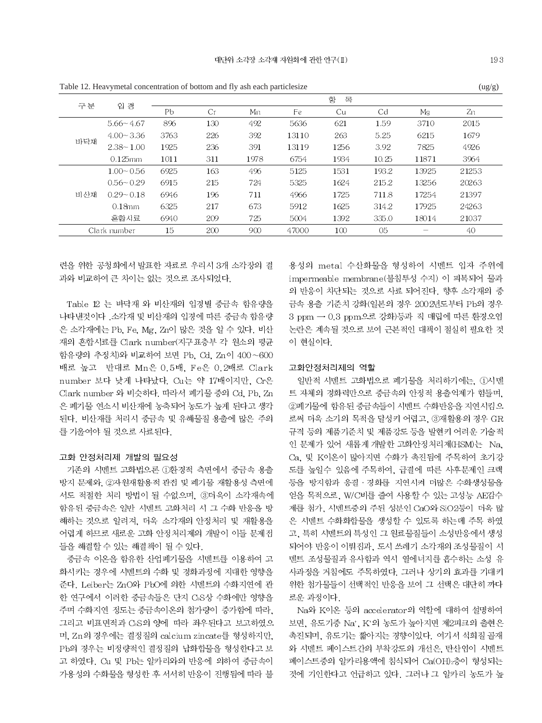|     | Table 12. Heavy inetal concentration of bottom and hy ash each particles ize |      |     |      |       |      |       |       | $\frac{u g}{g}$ |  |
|-----|------------------------------------------------------------------------------|------|-----|------|-------|------|-------|-------|-----------------|--|
|     | 항<br>목                                                                       |      |     |      |       |      |       |       |                 |  |
| 구분  | 입<br>경                                                                       | Pb   | Cr  | Mn   | Fe    | Cu   | Cd    | Mα    | Zn              |  |
|     | $5.66 - 4.67$                                                                | 896  | 130 | 492  | 5636  | 621  | 1.59  | 3710  | 2015            |  |
|     | $4.00 - 3.36$                                                                | 3763 | 226 | 392  | 13110 | 263  | 5.25  | 6215  | 1679            |  |
| 바닥재 | $2.38 - 1.00$                                                                | 1925 | 236 | 391  | 13119 | 1256 | 3.92  | 7825  | 4926            |  |
|     | $0.125$ mm                                                                   | 1011 | 311 | 1978 | 6754  | 1934 | 10.25 | 11871 | 3964            |  |
|     | $1.00 - 0.56$                                                                | 6925 | 163 | 496  | 5125  | 1531 | 193.2 | 13925 | 21253           |  |
|     | $0.56 - 0.29$                                                                | 6915 | 215 | 724  | 5325  | 1624 | 215.2 | 13256 | 20263           |  |
| 비산재 | $0.29 - 0.18$                                                                | 6946 | 196 | 711  | 4966  | 1725 | 711.8 | 17254 | 21397           |  |
|     | $0.18$ mm                                                                    | 6325 | 217 | 673  | 5912  | 1625 | 314.2 | 17925 | 24263           |  |
|     | 혼합시료                                                                         | 6940 | 209 | 725  | 5004  | 1392 | 335.0 | 18014 | 21037           |  |
|     | Clark number                                                                 | 15   | 200 | 900  | 47000 | 100  | 05    |       | 40              |  |

련을 위한 공청회에서 발표한 자료로 우리시 3개 소각장의 결 과와 비교하여 큰 차이는 없는 것으로 조사되었다.

Table 12 는 바닥재 와 비산재의 입경별 중금속 함유량을 나타낸것이다. 소각재 및 비산재의 입경에 따른 중금속 함유량 은 소각재에는 Pb, Fe, Mg, Zn이 많은 것을 알 수 있다. 비산 재의 혼합시료를 Clark number(지구표층부 각 원소의 평균 함유량의 추정치)와 비교하여 보면 Pb. Cd. Zn이 400~600 배로 높고 반대로 Mn은 0.5배, Fe은 0.2배로 Clark number 보다 낮게 나타났다. Cu는 약 17배이지만, Cr은 Clark number 와 비슷하다. 따라서 폐기물 중의 Cd. Pb. Zn 은 폐기물 연소시 비산재에 농축되어 농도가 높게 된다고 생각 된다. 비산재를 처리시 중금속 및 유해물질 용출에 많은 주의 를 기울여야 될 것으로 사료된다.

#### 고화 안정처리제 개발의 필요성

기존의 시멘트 고화법으론 ①환경적 측면에서 중금속 용출 방지 문제와, 2자원재활용적 관점 및 폐기물 재활용성 측면에 서도 적절한 처리 방법이 될 수없으며, 3더욱이 소각재속에 함유된 중금속은 일반 시멘트 고화처리 시 그 수화 반응을 방 해하는 것으로 알려져. 더욱 소각재의 안정처리 및 재활용을 어렵게 하므로 새로운 고화 안정처리제의 개발이 이들 문제점 들을 해결할 수 있는 해결책이 될 수 있다.

중금속 이온을 함유한 산업폐기물을 시멘트를 이용하여 고 화시키는 경우에 시멘트의 수화 및 경화과정에 지대한 영향을 준다. Leiber는 ZnO와 PbO에 의한 시멘트의 수화지연에 관 한 연구에서 이러한 중금속들은 단지 CsS상 수화에만 영향을 주며 수화지연 정도는 중금속이온의 첨가량이 증가함에 따라, 그리고 비표면적과 Cs의 양에 따라 좌우된다고 보고하였으 며, Zn의 경우에는 결정질의 calcium zincate를 형성하지만, Pb의 경우는 비정량적인 결정질의 납화함물을 형성한다고 보 고 하였다. Cu 및 Pb는 알카리와의 반응에 의하여 중금속이 가용성의 수화물을 형성한 후 서서히 반응이 진행됨에 따라 불 용성의 metal 수산화물을 형성하여 시멘트 입자 주위에 impermeable membrane(불침투성 수지) 이 피복되어 물과 의 반응이 차단되는 것으로 사료 되어진다. 향후 소각재의 중 금속 용출 기준치 강화(일본의 경우 2002년도부터 Pb의 경우 3 ppm → 0.3 ppm으로 강화)등과 직 매립에 따른 환경오염 논란은 계속될 것으로 보여 근본적인 대책이 절실히 필요한 것 이 현실이다.

#### 고화안정처리제의 역할

일반적 시멘트 고화법으로 폐기물을 처리하기에는. ①시멘 트 자체의 경화력만으로 중금속의 안정적 용출억제가 힘들며, 2폐기물에 함유된 중금속들이 시멘트 수화반응을 지연시킴으 로써 더욱 소기의 목적을 달성키 어렵고, ③재활용의 경우 GR 규격 등의 제품기준치 및 제품강도 등을 발현키 어려운 기술적 인 문제가 있어 새롭게 개발한 고화안정처리제(HSM)는 Na. Ca, 및 K이온이 많아지면 수화가 촉진됨에 주목하여 초기강 도를 높일수 있음에 주목하여, 급결에 따른 사후문제인 크랙 등을 방지함과 응결 · 경화를 지연시켜 더많은 수화생성물을 얻을 목적으로, W/C비를 줄여 사용할 수 있는 고성능 AE감수 제를 첨가, 시멘트중의 주된 성분인 CaO와 SiO2등이 더욱 많 은 시멘트 수화화합물을 생성할 수 있도록 하는데 주목 하였 고, 특히 시멘트의 특성인 그 원료물질들이 소성반응에서 생성 되어야 반응이 이뤄집과, 도시 쓰레기 소각재의 조성물질이 시 멘트 조성물질과 유사함과 역시 열에너지를 흡수하는 소성 유 사과정을 거침에도 주목하였다. 그러나 상기의 효과를 기대키 위한 첨가물들이 선택적인 반응을 보여 그 선택은 대단히 까다 로운 과정이다.

Na와 K이온 등의 accelerator의 역할에 대하여 설명하여 보면, 유도기중 Na+, K+의 농도가 높아지면 제2피크의 출현은 촉진되며, 유도기는 짧아지는 경향이있다. 여기서 석회질 골재 와 시멘트 페이스트간의 부착강도의 개선은, 탄산염이 시멘트 페이스트중의 알카리용액에 침식되어 Ca(OH) 층이 형성되는 것에 기인한다고 언급하고 있다. 그러나 그 알카리 농도가 높

 $\left(\frac{1}{2}\right)^{n}$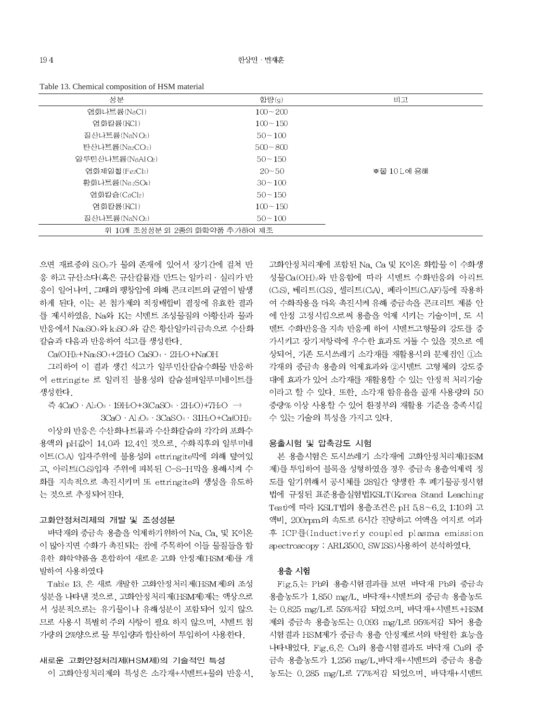| 성분                            | 함량(g)       | 비고          |
|-------------------------------|-------------|-------------|
| 염화나트륨(NaCl)                   | $100 - 200$ |             |
| 염화칼륨(KCI)                     | $100 - 150$ |             |
| 질산나트륨(NaNOs)                  | $50 - 100$  |             |
| 탄산나트륨(Na2CO3)                 | $500 - 800$ |             |
| 알루민산나트륨(NaAlOz)               | $50 - 150$  |             |
| 염화제일철(Fe2Cla)                 | $20 - 50$   | ※물 10 L에 용해 |
| 황화나트륨(Na2SO4)                 | $30 - 100$  |             |
| 염화칼슘(CaCl2)                   | $50 - 150$  |             |
| 염화칼륨(KCI)                     | $100 - 150$ |             |
| 질산나트륨(NaN Os)                 | $50 - 100$  |             |
| 위 10개 조성성분 외 2종의 화학약품 추가하여 제조 |             |             |

Table 13. Chemical composition of HSM material

으면 재료중의 SiO2가 물의 존재에 있어서 장기간에 걸쳐 반 응 하고 규산소다(혹은 규산칼륨)를 만드는 알카리 · 실리카 반 응이 일어나며, 그때의 팽창압에 의해 콘크리트의 균열이 발생 하게 된다. 이는 본 첨가제의 적정배합비 결정에 유효한 결과 를 제시하였음. Na와 K는 시멘트 조성물질의 아황산과 물과 반응에서 Na2SO4와 k2SO 와 같은 황산알카리금속으로 수산화 칼슘과 다음과 반응하여 석고를 생성한다.

 $Ca(OH)_2 + Na_2SO_4 + 2H_2O$   $CaSO_4 + 2H_2O + NaOH$ 

그리하여 이 결과 생긴 석고가 알루민산칼슘수화물 반응하 여 ettringite 로 알려진 불용성의 칼슘설퍼알루미네이트를 생성한다.

즉 4CaO · Al2O<sub>3</sub> · 19H<sub>2</sub>O + 3(CaSO<sub>4</sub> · 2H<sub>2</sub>O) +  $7H_2O \rightarrow$ 

 $3CaO + Al\cdot Q_3 + 3CaSO_4 + 31H_2O + Ca(OH)_2$ 

이상의 반응은 수산화나트륨과 수산화칼슘의 각각의 포화수 용액의 pH값이 14.0과 12.4인 것으로, 수화직후의 알루미네 이트(CBA) 입자주위에 불용성의 ettringite막에 의해 덮여있 고, 아리트(CsS)입자 주위에 피복된 C-S-H막을 용해시켜 수 화를 지속적으로 촉진시키며 또 ettringite의 생성을 유도하 는 것으로 추정되어진다.

### 고화안정처리제의 개발 및 조성성분

바닥재의 중금속 용출을 억제하기위하여 Na. Ca. 및 K이온 이 많아지면 수화가 촉진되는 점에 주목하여 이들 물질들을 함 유한 화학약품을 혼합하여 새로운 고화 안정제(HSM제)를 개 발하여 사용하였다

Table 13. 은 새로 개발한 고화안정처리제(HSM제)의 조성 성분을 나타낸 것으로, 고화안정처리제(HSM제)제는 액상으로 서 성분적으로는 유기물이나 유해성분이 포함되어 있지 않으 므로 사용시 특별히 주의 사항이 필요 하지 않으며, 시멘트 첨 가량의 2%양으로 물 투입량과 합산하여 투입하여 사용한다.

### 새로운 고화안정처리제(HSM제)의 기술적인 특성

이 고화안정처리제의 특성은 소각재+시멘트+물의 반응시.

고화안정처리제에 포함된 Na, Ca 및 K이온 화합물 이 수화생 성물Ca(OH)2와 반응함에 따라 시멘트 수화반응의 아리트 (CsS), 베리트(CsS), 셀리트(CsA), 페라이트(CAF)등에 작용하 여 수화작용을 더욱 촉진시켜 유해 중금속을 콘크리트 제품 안 에 안정 고정시킴으로써 용출을 억제 시키는 기술이며, 도 시 멘트 수화반응을 지속 반응케 하여 시멘트고형물의 강도를 증 가시키고 장기저항력에 우수한 효과도 거둘 수 있을 것으로 예 상되어, 기존 도시쓰레기 소각재를 재활용시의 문제점인 ①소 각재의 중금속 용출의 억제효과와 2시멘트 고형체의 강도증 대에 효과가 있어 소각재를 재활용할 수 있는 안정적 처리기술 이라고 할 수 있다. 또한, 소각재 함유율을 골재 사용량의 50 중량% 이상 사용할 수 있어 환경부의 재활용 기준을 충족시킬 수 있는 기술의 특성을 가지고 있다.

### 용출시험 및 압축강도 시험

본 용출시험은 도시쓰레기 소각재에 고화안정처리제(HSM 제)를 투입하여 블록을 성형하였을 경우 중금속 용출억제력 정 도를 알기위해서 공시체를 28일간 양생한 후 폐기물공정시험 법에 규정된 표준용출실험법KSLT(Korea Stand Leaching Test)에 따라 KSLT법의 용출조건은 pH 58~6.2, 1:10의 고 액비, 200rpm의 속도로 6시간 진탕하고 여액을 여지로 여과 후 ICP를(Inductiverly coupled plasma emission spectroscopy : ARL3500, SWISS)사용하여 분석하였다.

#### 용출 시험

Fig.5.는 Pb의 용출시험결과를 보면 바닥재 Pb의 중금속 용출농도가 1,850 mg/L, 바닥재+시멘트의 중금속 용출농도 는 0.825 mg/L로 55%저감 되었으며, 바닥재+시멘트+HSM 제의 중금속 용출농도는 0.093 mg/L로 95%저감 되어 용출 시험결과 HSM제가 중금속 용출 안정제로서의 탁월한 효능을 나타내었다. Fig.6.은 Cu의 용출시험결과도 바닥재 Cu의 중 금속 용출농도가 1.256 mg/L.바닥재+시멘트의 중금속 용출 농도는 0.285 mg/L로 77%저감 되었으며, 바닥재+시멘트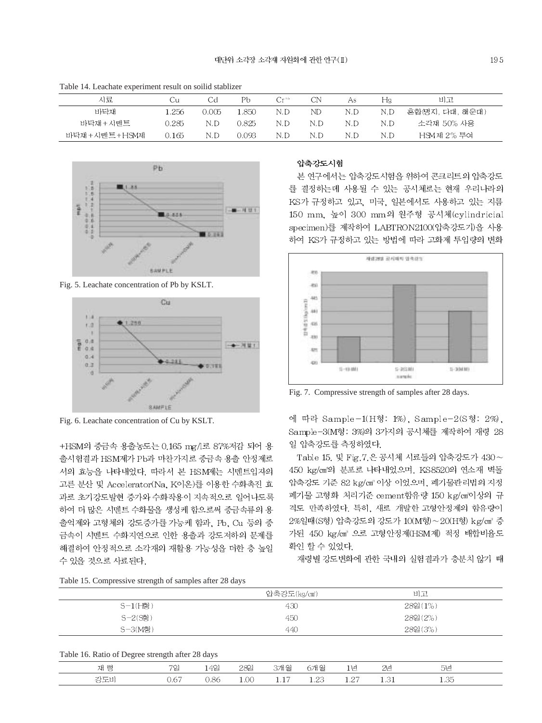| Tuoto T II Eluvinuo vapellinent leguit on sonna suurillel |       |       |        |           |     |     |     |                 |  |
|-----------------------------------------------------------|-------|-------|--------|-----------|-----|-----|-----|-----------------|--|
| 시료                                                        | Сu    | Cđ    | Рb     | $Cr^{16}$ | CN  | As  | Ηą  | 비고              |  |
| 바닥재                                                       | 1.256 | 0.005 | 1.850  | N.D       | ND. | N.D | N.D | 혼합(명지, 다대, 해운대) |  |
| 바닥재+시멘트                                                   | 9.285 | N.D   | 0.825  | N.D       | N.D | N.D | N.D | 소각재 50% 사용      |  |
| 바닥재 +시멘트+HSM제                                             | 0.165 | N.D   | 0.093. | N.D       | N.D | N.D | N.D | HSM제 2% 투여      |  |

Table 14. Leachate experiment result on soilid stablizer



Fig. 5. Leachate concentration of Pb by KSLT.



Fig. 6. Leachate concentration of Cu by KSLT.

+HSM의 중금속 용출농도는 0.165 mg/l로 87%저감 되어 용 출시험결과 HSM제가 Pb과 마찬가지로 중금속 용출 안정제로 서의 효능을 나타내었다. 따라서 본 HSM제는 시멘트입자의 고른 분산 및 Accelerator(Na, K이온)를 이용한 수화촉진 효 과로 초기강도발현 증가와 수화작용이 지속적으로 일어나도록 하여 더 많은 시멘트 수화물을 생성케 함으로써 중금속류의 용 출억제와 고형체의 강도증가를 가능케 함과, Pb, Cu 등의 중 금속이 시멘트 수화지연으로 인한 용출과 강도저하의 문제를 해결하여 안정적으로 소각재의 재활용 가능성을 더한 층 높일 수 있을 것으로 사료된다.

### 압축강도시험

본 연구에서는 압축강도시험을 위하여 콘크리트의 압축강도 를 결정하는데 사용될 수 있는 공시체로는 현재 우리나라의 KS가 규정하고 있고, 미국, 일본에서도 사용하고 있는 지름 150 mm, 높이 300 mm의 원주형 공시체(cylindricial specimen)를 제작하여 LABTRON2100(압축강도기)을 사용 하여 KS가 규정하고 있는 방법에 따라 고화제 투입량의 변화



Fig. 7. Compressive strength of samples after 28 days.

에 따라 Sample-1(H형: 1%), Sample-2(S형: 2%). Sample-3(M형: 3%)의 3가지의 공시체를 제작하여 재령 28 일 압축강도를 측정하였다.

Table 15. 및 Fig. 7.은 공시체 시료들의 압축강도가 430~ 450 kg/cm2의 분포로 나타내었으며, KS8520의 연소재 벽돌 압축강도 기준 82 kg/cm2 이상 이었으며, 폐기물관리법의 지정 폐기물 고형화 처리기준 cement함유량 150 kg/cm'이상의 규 격도 만족하였다. 특히, 새로 개발한 고형안정제의 함유량이 2%일때(S형) 압축강도의 강도가 10(M형)~20(H형) kg/cm3 증 가된 450 kg/cm<sup>3</sup> 으로 고형안정제(HSM제) 적정 배합비율도 확인 할 수 있었다.

재령별 강도변화에 관한 국내의 실험결과가 충분치 않기 때

Table 15. Compressive strength of samples after 28 days

|            | 압축강도(kg/cm) | 비고      |  |
|------------|-------------|---------|--|
| $S-1$ (H형) | 430         | 282(1%) |  |
| $S-2(S$ 형) | 450         | 282(2%) |  |
| S-3(M형)    | 440         | 282(3%) |  |

Table 16. Ratio of Degree strength after 28 days

| $10000$ $1000000$ $1000000$ $10000000$ |          |      |   |     |       |        |   |  |
|----------------------------------------|----------|------|---|-----|-------|--------|---|--|
| 쟤                                      | AO<br>エモ | 282  | € | €   |       | $\sim$ | ⊷ |  |
|                                        | ∽        | 1.00 |   | --- | - - - |        |   |  |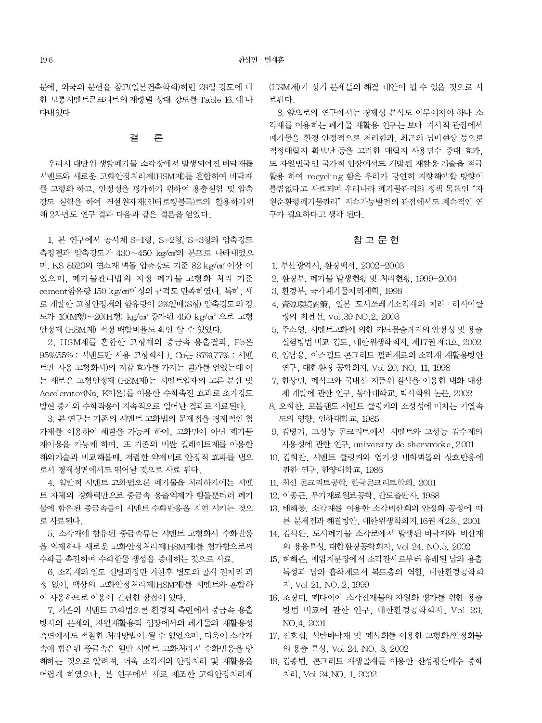문에, 외국의 문헌을 참고(일본건축학회)하면 28일 강도에 대 한 보통시멘트콘크리트의 재령별 상대 강도를 Table 16. 에 나 타내었다

#### 결 론

우리시 대단위 생활폐기물 소각장에서 발생되어진 바닥재를 시멘트와 새로운 고화안정처리제(HSM제)를 혼합하여 바닥재 를 고형화 하고, 안정성을 평가하기 위하여 용출실험 및 압축 강도 실험을 하여 건설원자재(인터로킹블록)로의 활용하기위 해 2차년도 연구 결과 다음과 같은 결론을 얻었다.

1. 본 연구에서 공시체 S-1형, S-2형, S-3형의 압축강도 측정결과 압축강도가 430~450 kg/cm'의 분포로 나타내었으 며, KS 8520의 연소재 벽돌 압축강도 기준 82 kg/cm<sup>3</sup> 이상 이 었으며, 폐기물관리법의 지정 폐기물 고형화 처리 기준 cement 함유량 150 kg/cm'이상의 규격도 만족하였다. 특히, 새 로 개발한 고형안정제의 함유량이 2%일때(S형) 압축강도의 강 도가 10(M형)~20(H형) kg/cm3 증가된 450 kg/cm3 으로 고형 안정제 (HSM제) 적정 배합비율도 확인 할 수 있었다.

2. HSM제를 혼합한 고형체의 중금속 용출결과. Pb은 95%(55% : 시멘트만 사용 고형화시), Cu는 87%(77% : 시멘 트만 사용 고형화시)의 저감 효과를 가지는 결과를 얻었는데 이 는 새로운 고형안정제 (HSM제)는 시멘트입자의 고른 분산 및 Accelerator(Na, K이온)를 이용한 수화촉진 효과로 초기강도 발현 증가와 수화작용이 지속적으로 일어난 결과로 사료된다.

3. 본 연구는 기존의 시멘트 고화법의 문제점을 경제적인 첨 가제를 이용하여 해결을 가능케 하여, 고화만이 아닌 폐기물 재이용을 가능케 하며, 또 기존의 비싼 킬레이트제를 이용한 해외기술과 비교해볼때, 저렴한 약제비로 안정적 효과를 냅으 로서 경제성면에서도 뛰어날 것으로 사료 된다.

4. 일반적 시멘트 고화법으론 폐기물을 처리하기에는 시멘 트 자체의 경화력만으로 중금속 용출억제가 힘들뿐더러 폐기 물에 함유된 중금속들이 시멘트 수화반응을 지연 시키는 것으 로 사료된다.

5. 소각재에 함유된 중금속류는 시멘트 고형화시 수화반응 을 억제하나 새로운 고화안정처리제(HSM제)를 첨가함으로써 수화를 촉진하며 수화합물 생성을 증대하는 것으로 사료.

6. 소각재의 입도 선별과정만 거친후 별도의 골재 전처리 과 정 없이, 액상의 고화안정처리제(HSM제)를 시멘트와 혼합하 여 사용하므로 이용이 간편한 장점이 있다.

7. 기존의 시멘트 고화법으론 환경적 측면에서 중금속 용출 방지의 문제와, 자원재활용적 입장에서의 페기물의 재활용성 측면에서도 적절한 처리방법이 될 수 없었으며, 더욱이 소각재 속에 함유된 중금속은 일반 시멘트 고화처리시 수화반응을 방 해하는 것으로 알려져, 더욱 소각재의 안정처리 및 재활용을 어렵게 하였으나, 본 연구에서 새로 제조한 고화안정처리제 (HSM제)가 상기 문제들의 해결 대안이 될 수 있을 것으로 사 료되다

8. 앞으로의 연구에서는 경제성 분석도 이루어져야 하나 소 각재를 이용하는 폐기물 재활용 연구는 보다 거시적 관점에서 폐기물을 환경 안정적으로 처리함과, 최근의 님비현상 등으로 적정매립지 확보난 등을 고려한 매립지 사용년수 증대 효과. 또 자원빈국인 국가적 입장에서도 개발된 재활용 기술을 적극 활용 하여 recycling 함은 우리가 당연히 지향해야할 방향이 틀림없다고 사료되며 우리나라 폐기물관리의 정책 목표인 "자 원순환형폐기물관리" 지속가능발전의 관점에서도 계속적인 연 구가 필요하다고 생각 된다.

### 참 고 문 헌

- 1. 부산광역시, 환경백서, 2002-2003
- 2. 환경부, 폐기물 발생현황 및 처리현황, 1999-2004
- 3. 환경부, 국가폐기물처리계획, 1998
- 4. 資源環境對策. 일본 도시쓰레기소각재의 처리 · 리사이클 링의 최전선, Vol.39 NO.2, 2003
- 5. 주소영, 시멘트고화에 의한 카드뮴슬러지의 안정성 및 용출 실험방법 비교 검토, 대한위생학회지, 제17권 제3호, 2002
- 6. 임남웅. 아스팔트 콘크리트 필러재로의 소각재 재활용방안 연구, 대한환경 공학회지, Vol 20, NO, 11, 1998
- 7. 한상민, 폐석고와 국내산 저품위 질석을 이용한 내화 내장 제 개발에 관한 연구, 동아대학교, 박사학위 논문, 2002
- 8. 오희찬, 포틀랜드 시멘트 클링커의 소성성에 미치는 가열속 도의 영향. 인하대학교. 1985
- 9. 김병기, 고성능 콘크리트에서 시멘트와 고성능 감수제의 사용성에 관한 연구, university de shervrocke, 2001
- 10. 김희찬, 시멘트 클링커와 염기성 내화벽돌의 상호반응에 관한 연구, 한양대학교, 1986
- 11. 최신 콘크리트공학, 한국콘크리트학회, 2001
- 12. 이종근, 무기재료원료공학, 반도출판사, 1988
- 13. 배해룡, 소각재를 이용한 소각비산회의 안정화 공정에 따 른 문제전과 해결방안, 대한위생학회지, 16권 제2호, 2001
- 14. 김석완, 도시폐기물 소각로에서 발생된 바닥재와 비산재 의 용융특성, 대한환경공학회지, Vol 24, NO.5, 2002
- 15. 허해준, 매립처분장에서 소각잔사로부터 유래된 납의 용출 특성과 납의 흡착제로서 복토층의 역할, 대한환경공학회 지, Vol 21, NO, 2, 1999
- 16. 조경미, 폐타이어 소각잔재물의 자원화 평가를 위한 용출 방법 비교에 관한 연구, 대한환경공학회지, Vol 23. NO.4, 2001
- 17. 진호섭, 석탄바닥재 및 폐석회를 이용한 고형화/안정화물 의 용출 특성, Vol 24, NO, 3, 2002
- 18. 김종법, 콘크리트 재생골재를 이용한 산성광산배수 중화 처리, Vol 24.NO. 1, 2002